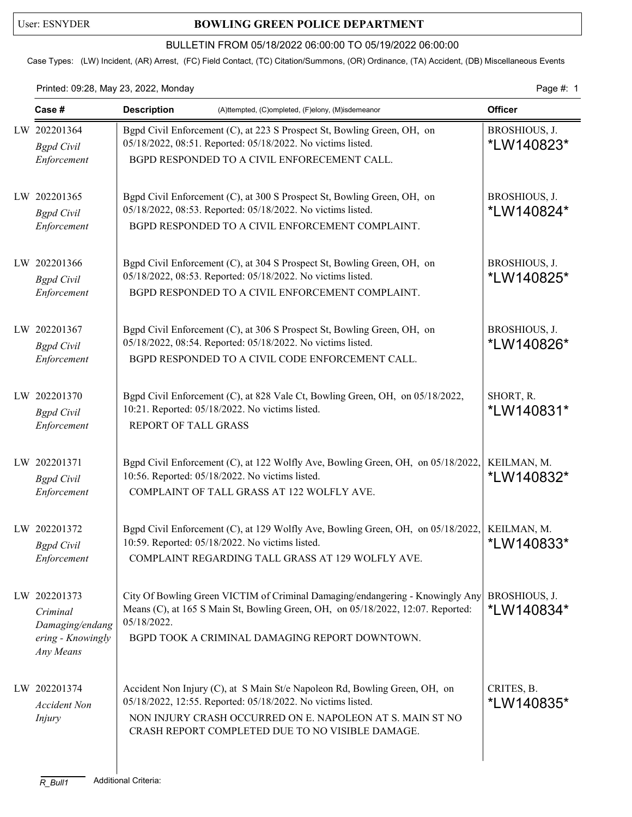## User: ESNYDER **BOWLING GREEN POLICE DEPARTMENT**

### BULLETIN FROM 05/18/2022 06:00:00 TO 05/19/2022 06:00:00

Case Types: (LW) Incident, (AR) Arrest, (FC) Field Contact, (TC) Citation/Summons, (OR) Ordinance, (TA) Accident, (DB) Miscellaneous Events

### Printed: 09:28, May 23, 2022, Monday Page #: 1

| Case #                                                                        | <b>Description</b><br>(A)ttempted, (C)ompleted, (F)elony, (M)isdemeanor                                                                                                                                                                                    |                             |
|-------------------------------------------------------------------------------|------------------------------------------------------------------------------------------------------------------------------------------------------------------------------------------------------------------------------------------------------------|-----------------------------|
| LW 202201364<br><b>Bgpd</b> Civil<br>Enforcement                              | Bgpd Civil Enforcement (C), at 223 S Prospect St, Bowling Green, OH, on<br>05/18/2022, 08:51. Reported: 05/18/2022. No victims listed.<br>BGPD RESPONDED TO A CIVIL ENFORECEMENT CALL.                                                                     | BROSHIOUS, J.<br>*LW140823* |
| LW 202201365<br><b>Bgpd</b> Civil<br>Enforcement                              | Bgpd Civil Enforcement (C), at 300 S Prospect St, Bowling Green, OH, on<br>05/18/2022, 08:53. Reported: 05/18/2022. No victims listed.<br>BGPD RESPONDED TO A CIVIL ENFORCEMENT COMPLAINT.                                                                 | BROSHIOUS, J.<br>*LW140824* |
| LW 202201366<br><b>Bgpd</b> Civil<br>Enforcement                              | Bgpd Civil Enforcement (C), at 304 S Prospect St, Bowling Green, OH, on<br>05/18/2022, 08:53. Reported: 05/18/2022. No victims listed.<br>BGPD RESPONDED TO A CIVIL ENFORCEMENT COMPLAINT.                                                                 | BROSHIOUS, J.<br>*LW140825* |
| LW 202201367<br><b>Bgpd</b> Civil<br>Enforcement                              | Bgpd Civil Enforcement (C), at 306 S Prospect St, Bowling Green, OH, on<br>05/18/2022, 08:54. Reported: 05/18/2022. No victims listed.<br>BGPD RESPONDED TO A CIVIL CODE ENFORCEMENT CALL.                                                                 | BROSHIOUS, J.<br>*LW140826* |
| LW 202201370<br><b>Bgpd</b> Civil<br>Enforcement                              | Bgpd Civil Enforcement (C), at 828 Vale Ct, Bowling Green, OH, on 05/18/2022,<br>10:21. Reported: 05/18/2022. No victims listed.<br>REPORT OF TALL GRASS                                                                                                   | SHORT, R.<br>*LW140831*     |
| LW 202201371<br><b>Bgpd</b> Civil<br>Enforcement                              | Bgpd Civil Enforcement (C), at 122 Wolfly Ave, Bowling Green, OH, on 05/18/2022,<br>10:56. Reported: 05/18/2022. No victims listed.<br>COMPLAINT OF TALL GRASS AT 122 WOLFLY AVE.                                                                          | KEILMAN, M.<br>*LW140832*   |
| LW 202201372<br><b>Bgpd</b> Civil<br>Enforcement                              | Bgpd Civil Enforcement (C), at 129 Wolfly Ave, Bowling Green, OH, on 05/18/2022,<br>10:59. Reported: 05/18/2022. No victims listed.<br>COMPLAINT REGARDING TALL GRASS AT 129 WOLFLY AVE.                                                                   | KEILMAN, M.<br>*LW140833*   |
| LW 202201373<br>Criminal<br>Damaging/endang<br>ering - Knowingly<br>Any Means | City Of Bowling Green VICTIM of Criminal Damaging/endangering - Knowingly Any<br>Means (C), at 165 S Main St, Bowling Green, OH, on 05/18/2022, 12:07. Reported:<br>05/18/2022.<br>BGPD TOOK A CRIMINAL DAMAGING REPORT DOWNTOWN.                          | BROSHIOUS, J.<br>*LW140834* |
| LW 202201374<br><b>Accident Non</b><br><i>Injury</i>                          | Accident Non Injury (C), at S Main St/e Napoleon Rd, Bowling Green, OH, on<br>05/18/2022, 12:55. Reported: 05/18/2022. No victims listed.<br>NON INJURY CRASH OCCURRED ON E. NAPOLEON AT S. MAIN ST NO<br>CRASH REPORT COMPLETED DUE TO NO VISIBLE DAMAGE. | CRITES, B.<br>*LW140835*    |

 $\overline{\phantom{a}}$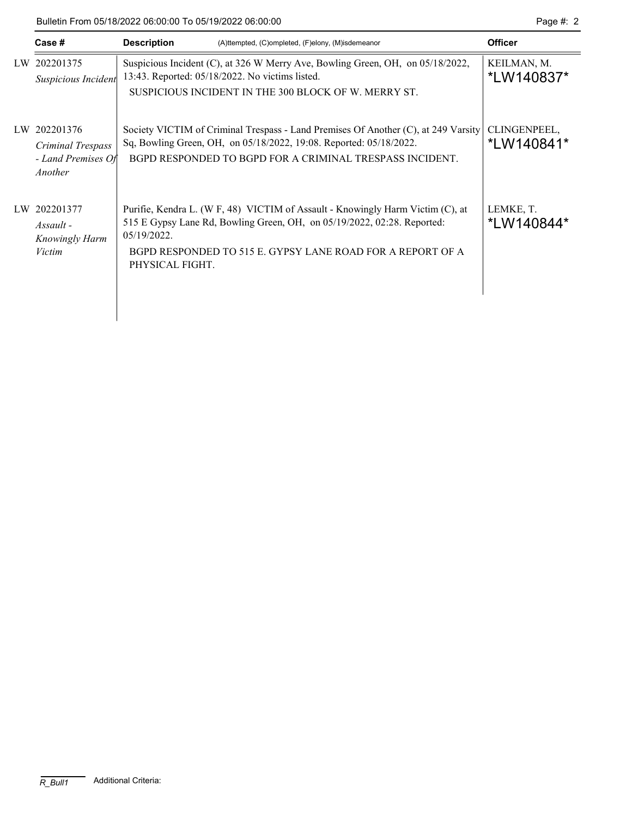Bulletin From 05/18/2022 06:00:00 To 05/19/2022 06:00:00 Page #: 2

|    | Case #                        | <b>Description</b><br>(A)ttempted, (C)ompleted, (F)elony, (M)isdemeanor            | <b>Officer</b>          |  |  |
|----|-------------------------------|------------------------------------------------------------------------------------|-------------------------|--|--|
|    | LW 202201375                  | Suspicious Incident (C), at 326 W Merry Ave, Bowling Green, OH, on 05/18/2022,     | KEILMAN, M.             |  |  |
|    | Suspicious Incident           | 13:43. Reported: 05/18/2022. No victims listed.                                    | *LW140837*              |  |  |
|    |                               | SUSPICIOUS INCIDENT IN THE 300 BLOCK OF W. MERRY ST.                               |                         |  |  |
| LW | 202201376                     | Society VICTIM of Criminal Trespass - Land Premises Of Another (C), at 249 Varsity | CLINGENPEEL,            |  |  |
|    | Criminal Trespass             | Sq, Bowling Green, OH, on 05/18/2022, 19:08. Reported: 05/18/2022.                 | *LW140841*              |  |  |
|    | - Land Premises Of<br>Another | BGPD RESPONDED TO BGPD FOR A CRIMINAL TRESPASS INCIDENT.                           |                         |  |  |
|    |                               |                                                                                    |                         |  |  |
| LW | 202201377                     | Purifie, Kendra L. (W F, 48) VICTIM of Assault - Knowingly Harm Victim (C), at     | LEMKE, T.<br>*LW140844* |  |  |
|    | $Assault$ -                   | 515 E Gypsy Lane Rd, Bowling Green, OH, on 05/19/2022, 02:28. Reported:            |                         |  |  |
|    | <b>Knowingly Harm</b>         | $05/19/2022$ .                                                                     |                         |  |  |
|    | Victim                        | BGPD RESPONDED TO 515 E. GYPSY LANE ROAD FOR A REPORT OF A<br>PHYSICAL FIGHT.      |                         |  |  |
|    |                               |                                                                                    |                         |  |  |
|    |                               |                                                                                    |                         |  |  |
|    |                               |                                                                                    |                         |  |  |